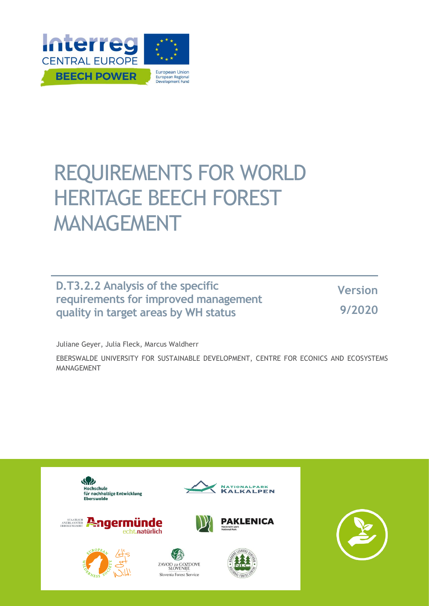

# REQUIREMENTS FOR WORLD HERITAGE BEECH FOREST MANAGEMENT

**D.T3.2.2 Analysis of the specific requirements for improved management quality in target areas by WH status**

**Version 9/2020**

Juliane Geyer, Julia Fleck, Marcus Waldherr

EBERSWALDE UNIVERSITY FOR SUSTAINABLE DEVELOPMENT, CENTRE FOR ECONICS AND ECOSYSTEMS MANAGEMENT

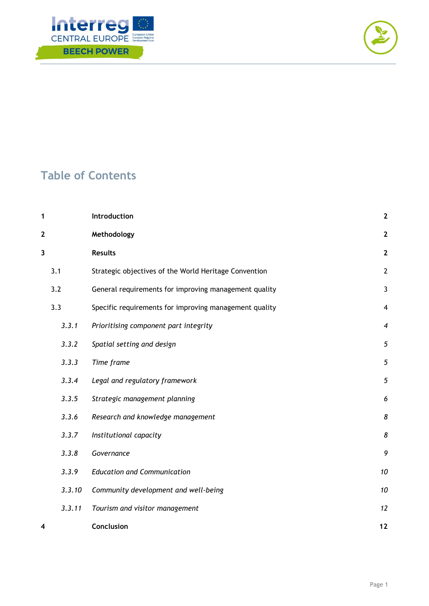



# **Table of Contents**

| 1              |        | Introduction                                           | $\mathbf{2}$     |
|----------------|--------|--------------------------------------------------------|------------------|
| $\overline{2}$ |        | Methodology                                            | $\mathbf{2}$     |
| 3              |        | <b>Results</b>                                         | $\mathbf{2}$     |
| 3.1            |        | Strategic objectives of the World Heritage Convention  | $\overline{2}$   |
| 3.2            |        | General requirements for improving management quality  | $\mathbf{3}$     |
| 3.3            |        | Specific requirements for improving management quality | 4                |
|                | 3.3.1  | Prioritising component part integrity                  | $\boldsymbol{4}$ |
|                | 3.3.2  | Spatial setting and design                             | 5                |
|                | 3.3.3  | Time frame                                             | 5                |
|                | 3.3.4  | Legal and regulatory framework                         | 5                |
|                | 3.3.5  | Strategic management planning                          | 6                |
|                | 3.3.6  | Research and knowledge management                      | 8                |
|                | 3.3.7  | Institutional capacity                                 | 8                |
|                | 3.3.8  | Governance                                             | 9                |
|                | 3.3.9  | <b>Education and Communication</b>                     | 10               |
|                | 3.3.10 | Community development and well-being                   | 10               |
|                | 3.3.11 | Tourism and visitor management                         | 12               |
| 4              |        | Conclusion                                             | 12               |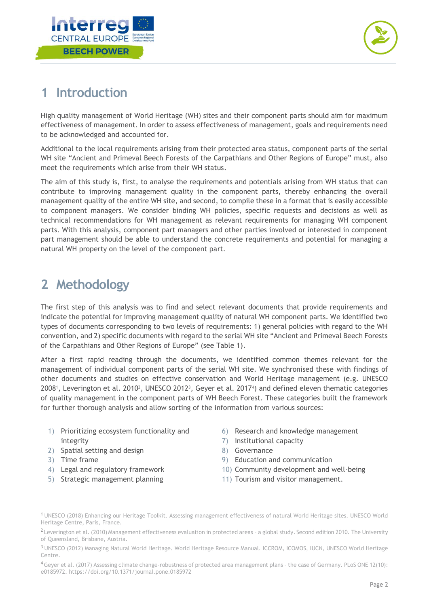



# <span id="page-2-0"></span>**1 Introduction**

High quality management of World Heritage (WH) sites and their component parts should aim for maximum effectiveness of management. In order to assess effectiveness of management, goals and requirements need to be acknowledged and accounted for.

Additional to the local requirements arising from their protected area status, component parts of the serial WH site "Ancient and Primeval Beech Forests of the Carpathians and Other Regions of Europe" must, also meet the requirements which arise from their WH status.

The aim of this study is, first, to analyse the requirements and potentials arising from WH status that can contribute to improving management quality in the component parts, thereby enhancing the overall management quality of the entire WH site, and second, to compile these in a format that is easily accessible to component managers. We consider binding WH policies, specific requests and decisions as well as technical recommendations for WH management as relevant requirements for managing WH component parts. With this analysis, component part managers and other parties involved or interested in component part management should be able to understand the concrete requirements and potential for managing a natural WH property on the level of the component part.

# <span id="page-2-1"></span>**2 Methodology**

The first step of this analysis was to find and select relevant documents that provide requirements and indicate the potential for improving management quality of natural WH component parts. We identified two types of documents corresponding to two levels of requirements: 1) general policies with regard to the WH convention, and 2) specific documents with regard to the serial WH site "Ancient and Primeval Beech Forests of the Carpathians and Other Regions of Europe" (see Table 1).

After a first rapid reading through the documents, we identified common themes relevant for the management of individual component parts of the serial WH site. We synchronised these with findings of other documents and studies on effective conservation and World Heritage management (e.g. UNESCO  $2008<sup>1</sup>$ , Leverington et al.  $2010<sup>2</sup>$ , UNESCO 2012<sup>3</sup>, Geyer et al.  $2017<sup>4</sup>$ ) and defined eleven thematic categories of quality management in the component parts of WH Beech Forest. These categories built the framework for further thorough analysis and allow sorting of the information from various sources:

- 1) Prioritizing ecosystem functionality and integrity
- 2) Spatial setting and design
- 3) Time frame
- 4) Legal and regulatory framework
- 5) Strategic management planning
- 6) Research and knowledge management
- 7) Institutional capacity
- 8) Governance
- 9) Education and communication
- 10) Community development and well-being
- 11) Tourism and visitor management.

<sup>1</sup> UNESCO (2018) Enhancing our Heritage Toolkit. Assessing management effectiveness of natural World Heritage sites. UNESCO World Heritage Centre, Paris, France.

<sup>&</sup>lt;sup>2</sup> Leverington et al. (2010) Management effectiveness evaluation in protected areas - a global study. Second edition 2010. The University of Queensland, Brisbane, Austria.

<sup>3</sup> UNESCO (2012) Managing Natural World Heritage. World Heritage Resource Manual. ICCROM, ICOMOS, IUCN, UNESCO World Heritage Centre.

<sup>4</sup>Geyer et al. (2017) Assessing climate change-robustness of protected area management plans – the case of Germany. PLoS ONE 12(10): e0185972. https://doi.org/10.1371/journal.pone.0185972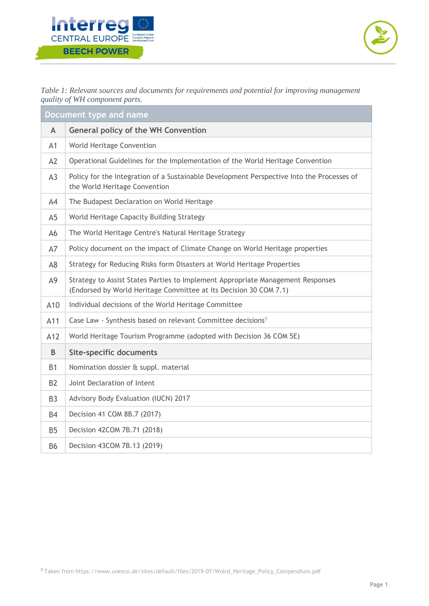



*Table 1: Relevant sources and documents for requirements and potential for improving management quality of WH component parts.*

| Document type and name |                                                                                                                                                      |  |  |
|------------------------|------------------------------------------------------------------------------------------------------------------------------------------------------|--|--|
| $\mathsf{A}$           | <b>General policy of the WH Convention</b>                                                                                                           |  |  |
| A1                     | World Heritage Convention                                                                                                                            |  |  |
| A2                     | Operational Guidelines for the Implementation of the World Heritage Convention                                                                       |  |  |
| A <sub>3</sub>         | Policy for the Integration of a Sustainable Development Perspective Into the Processes of<br>the World Heritage Convention                           |  |  |
| A4                     | The Budapest Declaration on World Heritage                                                                                                           |  |  |
| A <sub>5</sub>         | World Heritage Capacity Building Strategy                                                                                                            |  |  |
| A6                     | The World Heritage Centre's Natural Heritage Strategy                                                                                                |  |  |
| A7                     | Policy document on the impact of Climate Change on World Heritage properties                                                                         |  |  |
| A <sub>8</sub>         | Strategy for Reducing Risks form Disasters at World Heritage Properties                                                                              |  |  |
| A9                     | Strategy to Assist States Parties to Implement Appropriate Management Responses<br>(Endorsed by World Heritage Committee at its Decision 30 COM 7.1) |  |  |
| A10                    | Individual decisions of the World Heritage Committee                                                                                                 |  |  |
| A11                    | Case Law - Synthesis based on relevant Committee decisions <sup>5</sup>                                                                              |  |  |
| A12                    | World Heritage Tourism Programme (adopted with Decision 36 COM 5E)                                                                                   |  |  |
| B                      | <b>Site-specific documents</b>                                                                                                                       |  |  |
| <b>B1</b>              | Nomination dossier & suppl. material                                                                                                                 |  |  |
| <b>B2</b>              | Joint Declaration of Intent                                                                                                                          |  |  |
| <b>B3</b>              | Advisory Body Evaluation (IUCN) 2017                                                                                                                 |  |  |
| B4                     | Decision 41 COM 8B.7 (2017)                                                                                                                          |  |  |
| <b>B5</b>              | Decision 42COM 7B.71 (2018)                                                                                                                          |  |  |
| <b>B6</b>              | Decision 43COM 7B.13 (2019)                                                                                                                          |  |  |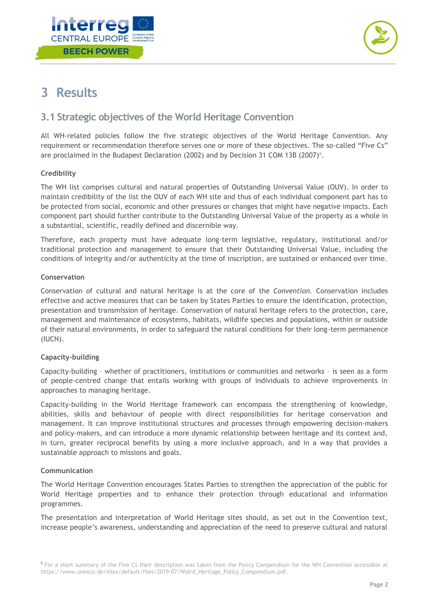



# <span id="page-4-0"></span>**3 Results**

# <span id="page-4-1"></span>**3.1 Strategic objectives of the World Heritage Convention**

All WH-related policies follow the five strategic objectives of the World Heritage Convention. Any requirement or recommendation therefore serves one or more of these objectives. The so-called "Five Cs" are proclaimed in the Budapest Declaration (2002) and by Decision 31 COM 13B (2007)<sup>6</sup>.

#### **Credibility**

The WH list comprises cultural and natural properties of Outstanding Universal Value (OUV). In order to maintain credibility of the list the OUV of each WH site and thus of each individual component part has to be protected from social, economic and other pressures or changes that might have negative impacts. Each component part should further contribute to the Outstanding Universal Value of the property as a whole in a substantial, scientific, readily defined and discernible way.

Therefore, each property must have adequate long-term legislative, regulatory, institutional and/or traditional protection and management to ensure that their Outstanding Universal Value, including the conditions of integrity and/or authenticity at the time of inscription, are sustained or enhanced over time.

#### **Conservation**

Conservation of cultural and natural heritage is at the core of the *Convention.* Conservation includes effective and active measures that can be taken by States Parties to ensure the identification, protection, presentation and transmission of heritage. Conservation of natural heritage refers to the protection, care, management and maintenance of ecosystems, habitats, wildlife species and populations, within or outside of their natural environments, in order to safeguard the natural conditions for their long-term permanence (IUCN).

#### **Capacity-building**

Capacity-building – whether of practitioners, institutions or communities and networks – is seen as a form of people-centred change that entails working with groups of individuals to achieve improvements in approaches to managing heritage.

Capacity-building in the World Heritage framework can encompass the strengthening of knowledge, abilities, skills and behaviour of people with direct responsibilities for heritage conservation and management. It can improve institutional structures and processes through empowering decision-makers and policy-makers, and can introduce a more dynamic relationship between heritage and its context and, in turn, greater reciprocal benefits by using a more inclusive approach, and in a way that provides a sustainable approach to missions and goals.

#### **Communication**

The World Heritage Convention encourages States Parties to strengthen the appreciation of the public for World Heritage properties and to enhance their protection through educational and information programmes.

The presentation and interpretation of World Heritage sites should, as set out in the Convention text, increase people's awareness, understanding and appreciation of the need to preserve cultural and natural

<sup>&</sup>lt;sup>6</sup> For a short summary of the Five Cs their description was taken from the Policy Compendium for the WH Convention accessible at https://www.unesco.de/sites/default/files/2019-07/Wolrd\_Heritage\_Policy\_Compendium.pdf.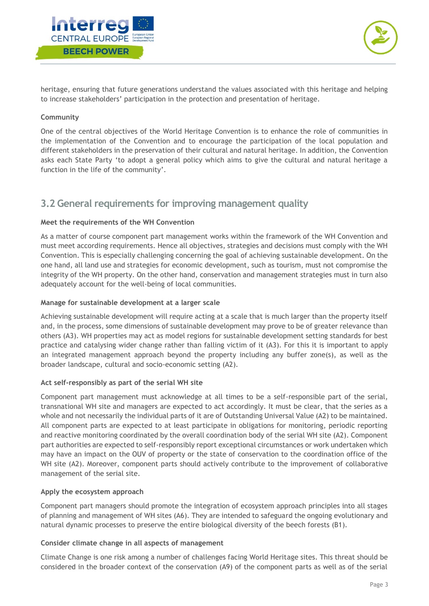



heritage, ensuring that future generations understand the values associated with this heritage and helping to increase stakeholders' participation in the protection and presentation of heritage.

#### **Community**

One of the central objectives of the World Heritage Convention is to enhance the role of communities in the implementation of the Convention and to encourage the participation of the local population and different stakeholders in the preservation of their cultural and natural heritage. In addition, the Convention asks each State Party 'to adopt a general policy which aims to give the cultural and natural heritage a function in the life of the community'.

# <span id="page-5-0"></span>**3.2 General requirements for improving management quality**

#### **Meet the requirements of the WH Convention**

As a matter of course component part management works within the framework of the WH Convention and must meet according requirements. Hence all objectives, strategies and decisions must comply with the WH Convention. This is especially challenging concerning the goal of achieving sustainable development. On the one hand, all land use and strategies for economic development, such as tourism, must not compromise the integrity of the WH property. On the other hand, conservation and management strategies must in turn also adequately account for the well-being of local communities.

#### **Manage for sustainable development at a larger scale**

Achieving sustainable development will require acting at a scale that is much larger than the property itself and, in the process, some dimensions of sustainable development may prove to be of greater relevance than others (A3). WH properties may act as model regions for sustainable development setting standards for best practice and catalysing wider change rather than falling victim of it (A3). For this it is important to apply an integrated management approach beyond the property including any buffer zone(s), as well as the broader landscape, cultural and socio-economic setting (A2).

#### **Act self-responsibly as part of the serial WH site**

Component part management must acknowledge at all times to be a self-responsible part of the serial, transnational WH site and managers are expected to act accordingly. It must be clear, that the series as a whole and not necessarily the individual parts of it are of Outstanding Universal Value (A2) to be maintained. All component parts are expected to at least participate in obligations for monitoring, periodic reporting and reactive monitoring coordinated by the overall coordination body of the serial WH site (A2). Component part authorities are expected to self-responsibly report exceptional circumstances or work undertaken which may have an impact on the OUV of property or the state of conservation to the coordination office of the WH site (A2). Moreover, component parts should actively contribute to the improvement of collaborative management of the serial site.

#### **Apply the ecosystem approach**

Component part managers should promote the integration of ecosystem approach principles into all stages of planning and management of WH sites (A6). They are intended to safeguard the ongoing evolutionary and natural dynamic processes to preserve the entire biological diversity of the beech forests (B1).

#### **Consider climate change in all aspects of management**

Climate Change is one risk among a number of challenges facing World Heritage sites. This threat should be considered in the broader context of the conservation (A9) of the component parts as well as of the serial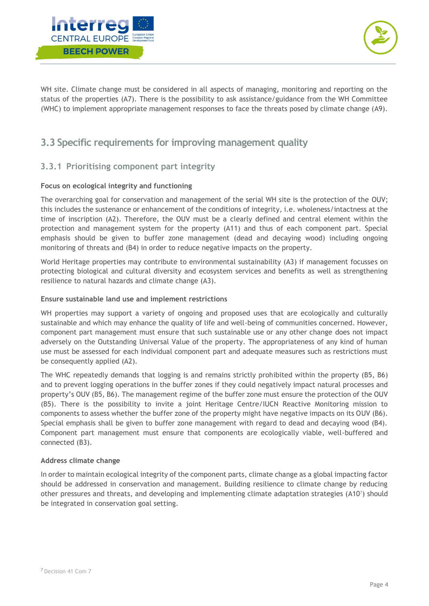



WH site. Climate change must be considered in all aspects of managing, monitoring and reporting on the status of the properties (A7). There is the possibility to ask assistance/guidance from the WH Committee (WHC) to implement appropriate management responses to face the threats posed by climate change (A9).

# <span id="page-6-0"></span>**3.3 Specific requirements for improving management quality**

### <span id="page-6-1"></span>**3.3.1 Prioritising component part integrity**

#### **Focus on ecological integrity and functioning**

The overarching goal for conservation and management of the serial WH site is the protection of the OUV; this includes the sustenance or enhancement of the conditions of integrity, i.e. wholeness/intactness at the time of inscription (A2). Therefore, the OUV must be a clearly defined and central element within the protection and management system for the property (A11) and thus of each component part. Special emphasis should be given to buffer zone management (dead and decaying wood) including ongoing monitoring of threats and (B4) in order to reduce negative impacts on the property.

World Heritage properties may contribute to environmental sustainability (A3) if management focusses on protecting biological and cultural diversity and ecosystem services and benefits as well as strengthening resilience to natural hazards and climate change (A3).

#### **Ensure sustainable land use and implement restrictions**

WH properties may support a variety of ongoing and proposed uses that are ecologically and culturally sustainable and which may enhance the quality of life and well-being of communities concerned. However, component part management must ensure that such sustainable use or any other change does not impact adversely on the Outstanding Universal Value of the property. The appropriateness of any kind of human use must be assessed for each individual component part and adequate measures such as restrictions must be consequently applied (A2).

The WHC repeatedly demands that logging is and remains strictly prohibited within the property (B5, B6) and to prevent logging operations in the buffer zones if they could negatively impact natural processes and property's OUV (B5, B6). The management regime of the buffer zone must ensure the protection of the OUV (B5). There is the possibility to invite a joint Heritage Centre/IUCN Reactive Monitoring mission to components to assess whether the buffer zone of the property might have negative impacts on its OUV (B6). Special emphasis shall be given to buffer zone management with regard to dead and decaying wood (B4). Component part management must ensure that components are ecologically viable, well-buffered and connected (B3).

#### **Address climate change**

In order to maintain ecological integrity of the component parts, climate change as a global impacting factor should be addressed in conservation and management. Building resilience to climate change by reducing other pressures and threats, and developing and implementing climate adaptation strategies (A107) should be integrated in conservation goal setting.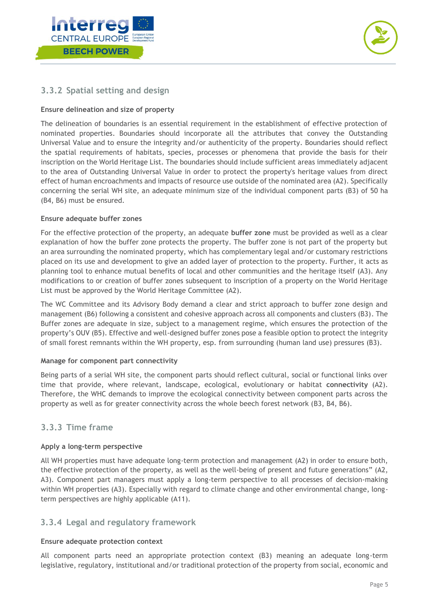



# <span id="page-7-0"></span>**3.3.2 Spatial setting and design**

#### **Ensure delineation and size of property**

The delineation of boundaries is an essential requirement in the establishment of effective protection of nominated properties. Boundaries should incorporate all the attributes that convey the Outstanding Universal Value and to ensure the integrity and/or authenticity of the property. Boundaries should reflect the spatial requirements of habitats, species, processes or phenomena that provide the basis for their inscription on the World Heritage List. The boundaries should include sufficient areas immediately adjacent to the area of Outstanding Universal Value in order to protect the property's heritage values from direct effect of human encroachments and impacts of resource use outside of the nominated area (A2). Specifically concerning the serial WH site, an adequate minimum size of the individual component parts (B3) of 50 ha (B4, B6) must be ensured.

#### **Ensure adequate buffer zones**

For the effective protection of the property, an adequate **buffer zone** must be provided as well as a clear explanation of how the buffer zone protects the property. The buffer zone is not part of the property but an area surrounding the nominated property, which has complementary legal and/or customary restrictions placed on its use and development to give an added layer of protection to the property. Further, it acts as planning tool to enhance mutual benefits of local and other communities and the heritage itself (A3). Any modifications to or creation of buffer zones subsequent to inscription of a property on the World Heritage List must be approved by the World Heritage Committee (A2).

The WC Committee and its Advisory Body demand a clear and strict approach to buffer zone design and management (B6) following a consistent and cohesive approach across all components and clusters (B3). The Buffer zones are adequate in size, subject to a management regime, which ensures the protection of the property's OUV (B5). Effective and well-designed buffer zones pose a feasible option to protect the integrity of small forest remnants within the WH property, esp. from surrounding (human land use) pressures (B3).

#### **Manage for component part connectivity**

Being parts of a serial WH site, the component parts should reflect cultural, social or functional links over time that provide, where relevant, landscape, ecological, evolutionary or habitat **connectivity** (A2). Therefore, the WHC demands to improve the ecological connectivity between component parts across the property as well as for greater connectivity across the whole beech forest network (B3, B4, B6).

#### <span id="page-7-1"></span>**3.3.3 Time frame**

#### **Apply a long-term perspective**

All WH properties must have adequate long-term protection and management (A2) in order to ensure both, the effective protection of the property, as well as the well-being of present and future generations" (A2, A3). Component part managers must apply a long-term perspective to all processes of decision-making within WH properties (A3). Especially with regard to climate change and other environmental change, longterm perspectives are highly applicable (A11).

#### <span id="page-7-2"></span>**3.3.4 Legal and regulatory framework**

#### **Ensure adequate protection context**

All component parts need an appropriate protection context (B3) meaning an adequate long-term legislative, regulatory, institutional and/or traditional protection of the property from social, economic and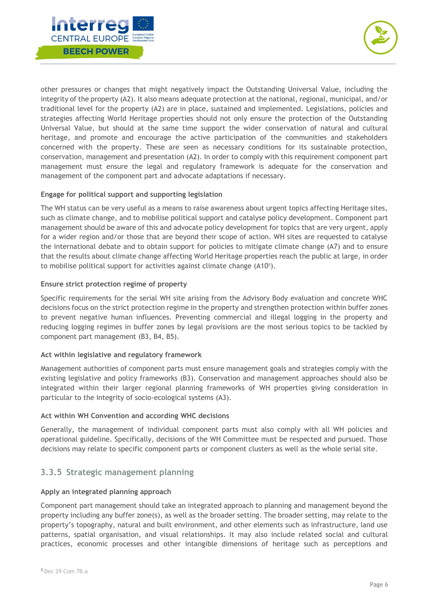



other pressures or changes that might negatively impact the Outstanding Universal Value, including the integrity of the property (A2). It also means adequate protection at the national, regional, municipal, and/or traditional level for the property (A2) are in place, sustained and implemented. Legislations, policies and strategies affecting World Heritage properties should not only ensure the protection of the Outstanding Universal Value, but should at the same time support the wider conservation of natural and cultural heritage, and promote and encourage the active participation of the communities and stakeholders concerned with the property. These are seen as necessary conditions for its sustainable protection, conservation, management and presentation (A2). In order to comply with this requirement component part management must ensure the legal and regulatory framework is adequate for the conservation and management of the component part and advocate adaptations if necessary.

#### **Engage for political support and supporting legislation**

The WH status can be very useful as a means to raise awareness about urgent topics affecting Heritage sites, such as climate change, and to mobilise political support and catalyse policy development. Component part management should be aware of this and advocate policy development for topics that are very urgent, apply for a wider region and/or those that are beyond their scope of action. WH sites are requested to catalyse the international debate and to obtain support for policies to mitigate climate change (A7) and to ensure that the results about climate change affecting World Heritage properties reach the public at large, in order to mobilise political support for activities against climate change  $(A10<sup>8</sup>)$ .

#### **Ensure strict protection regime of property**

Specific requirements for the serial WH site arising from the Advisory Body evaluation and concrete WHC decisions focus on the strict protection regime in the property and strengthen protection within buffer zones to prevent negative human influences. Preventing commercial and illegal logging in the property and reducing logging regimes in buffer zones by legal provisions are the most serious topics to be tackled by component part management (B3, B4, B5).

#### **Act within legislative and regulatory framework**

Management authorities of component parts must ensure management goals and strategies comply with the existing legislative and policy frameworks (B3). Conservation and management approaches should also be integrated within their larger regional planning frameworks of WH properties giving consideration in particular to the integrity of socio-ecological systems (A3).

#### **Act within WH Convention and according WHC decisions**

Generally, the management of individual component parts must also comply with all WH policies and operational guideline. Specifically, decisions of the WH Committee must be respected and pursued. Those decisions may relate to specific component parts or component clusters as well as the whole serial site.

### <span id="page-8-0"></span>**3.3.5 Strategic management planning**

#### **Apply an integrated planning approach**

Component part management should take an integrated approach to planning and management beyond the property including any buffer zone(s), as well as the broader setting. The broader setting, may relate to the property's topography, natural and built environment, and other elements such as infrastructure, land use patterns, spatial organisation, and visual relationships. It may also include related social and cultural practices, economic processes and other intangible dimensions of heritage such as perceptions and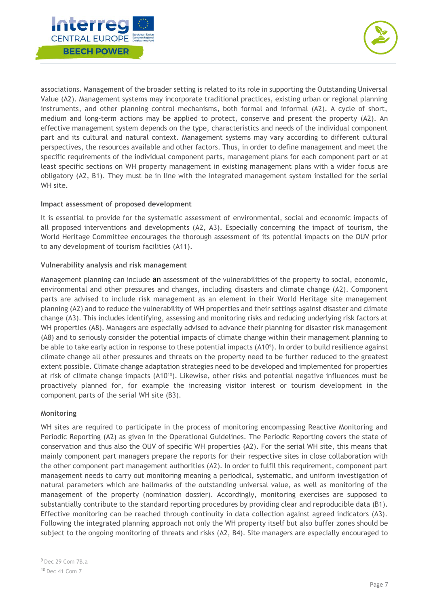



associations. Management of the broader setting is related to its role in supporting the Outstanding Universal Value (A2). Management systems may incorporate traditional practices, existing urban or regional planning instruments, and other planning control mechanisms, both formal and informal (A2). A cycle of short, medium and long-term actions may be applied to protect, conserve and present the property (A2). An effective management system depends on the type, characteristics and needs of the individual component part and its cultural and natural context. Management systems may vary according to different cultural perspectives, the resources available and other factors. Thus, in order to define management and meet the specific requirements of the individual component parts, management plans for each component part or at least specific sections on WH property management in existing management plans with a wider focus are obligatory (A2, B1). They must be in line with the integrated management system installed for the serial WH site.

#### **Impact assessment of proposed development**

It is essential to provide for the systematic assessment of environmental, social and economic impacts of all proposed interventions and developments (A2, A3). Especially concerning the impact of tourism, the World Heritage Committee encourages the thorough assessment of its potential impacts on the OUV prior to any development of tourism facilities (A11).

#### **Vulnerability analysis and risk management**

Management planning can include an assessment of the vulnerabilities of the property to social, economic, environmental and other pressures and changes, including disasters and climate change (A2). Component parts are advised to include risk management as an element in their World Heritage site management planning (A2) and to reduce the vulnerability of WH properties and their settings against disaster and climate change (A3). This includes identifying, assessing and monitoring risks and reducing underlying risk factors at WH properties (A8). Managers are especially advised to advance their planning for disaster risk management (A8) and to seriously consider the potential impacts of climate change within their management planning to be able to take early action in response to these potential impacts  $(A10^{\circ})$ . In order to build resilience against climate change all other pressures and threats on the property need to be further reduced to the greatest extent possible. Climate change adaptation strategies need to be developed and implemented for properties at risk of climate change impacts (A1010). Likewise, other risks and potential negative influences must be proactively planned for, for example the increasing visitor interest or tourism development in the component parts of the serial WH site (B3).

#### **Monitoring**

WH sites are required to participate in the process of monitoring encompassing Reactive Monitoring and Periodic Reporting (A2) as given in the Operational Guidelines. The Periodic Reporting covers the state of conservation and thus also the OUV of specific WH properties (A2). For the serial WH site, this means that mainly component part managers prepare the reports for their respective sites in close collaboration with the other component part management authorities (A2). In order to fulfil this requirement, component part management needs to carry out monitoring meaning a periodical, systematic, and uniform investigation of natural parameters which are hallmarks of the outstanding universal value, as well as monitoring of the management of the property (nomination dossier). Accordingly, monitoring exercises are supposed to substantially contribute to the standard reporting procedures by providing clear and reproducible data (B1). Effective monitoring can be reached through continuity in data collection against agreed indicators (A3). Following the integrated planning approach not only the WH property itself but also buffer zones should be subject to the ongoing monitoring of threats and risks (A2, B4). Site managers are especially encouraged to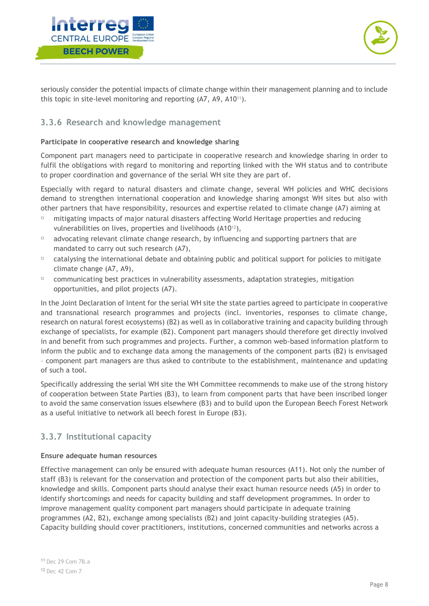



seriously consider the potential impacts of climate change within their management planning and to include this topic in site-level monitoring and reporting (A7, A9, A1011).

#### <span id="page-10-0"></span>**3.3.6 Research and knowledge management**

#### **Participate in cooperative research and knowledge sharing**

Component part managers need to participate in cooperative research and knowledge sharing in order to fulfil the obligations with regard to monitoring and reporting linked with the WH status and to contribute to proper coordination and governance of the serial WH site they are part of.

Especially with regard to natural disasters and climate change, several WH policies and WHC decisions demand to strengthen international cooperation and knowledge sharing amongst WH sites but also with other partners that have responsibility, resources and expertise related to climate change (A7) aiming at

- mitigating impacts of major natural disasters affecting World Heritage properties and reducing vulnerabilities on lives, properties and livelihoods (A1012),
- $\Box$  advocating relevant climate change research, by influencing and supporting partners that are mandated to carry out such research (A7),
- $\Box$  catalysing the international debate and obtaining public and political support for policies to mitigate climate change (A7, A9),
- $\Box$  communicating best practices in vulnerability assessments, adaptation strategies, mitigation opportunities, and pilot projects (A7).

In the Joint Declaration of Intent for the serial WH site the state parties agreed to participate in cooperative and transnational research programmes and projects (incl. inventories, responses to climate change, research on natural forest ecosystems) (B2) as well as in collaborative training and capacity building through exchange of specialists, for example (B2). Component part managers should therefore get directly involved in and benefit from such programmes and projects. Further, a common web-based information platform to inform the public and to exchange data among the managements of the component parts (B2) is envisaged – component part managers are thus asked to contribute to the establishment, maintenance and updating of such a tool.

Specifically addressing the serial WH site the WH Committee recommends to make use of the strong history of cooperation between State Parties (B3), to learn from component parts that have been inscribed longer to avoid the same conservation issues elsewhere (B3) and to build upon the European Beech Forest Network as a useful initiative to network all beech forest in Europe (B3).

## <span id="page-10-1"></span>**3.3.7 Institutional capacity**

#### **Ensure adequate human resources**

Effective management can only be ensured with adequate human resources (A11). Not only the number of staff (B3) is relevant for the conservation and protection of the component parts but also their abilities, knowledge and skills. Component parts should analyse their exact human resource needs (A5) in order to identify shortcomings and needs for capacity building and staff development programmes. In order to improve management quality component part managers should participate in adequate training programmes (A2, B2), exchange among specialists (B2) and joint capacity-building strategies (A5). Capacity building should cover practitioners, institutions, concerned communities and networks across a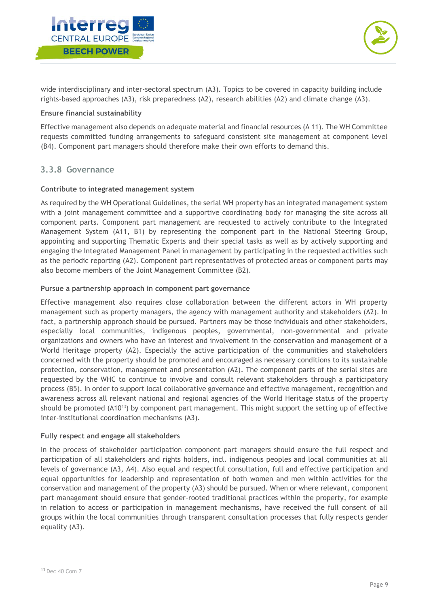



wide interdisciplinary and inter-sectoral spectrum (A3). Topics to be covered in capacity building include rights-based approaches (A3), risk preparedness (A2), research abilities (A2) and climate change (A3).

#### **Ensure financial sustainability**

Effective management also depends on adequate material and financial resources (A 11). The WH Committee requests committed funding arrangements to safeguard consistent site management at component level (B4). Component part managers should therefore make their own efforts to demand this.

#### <span id="page-11-0"></span>**3.3.8 Governance**

#### **Contribute to integrated management system**

As required by the WH Operational Guidelines, the serial WH property has an integrated management system with a joint management committee and a supportive coordinating body for managing the site across all component parts. Component part management are requested to actively contribute to the Integrated Management System (A11, B1) by representing the component part in the National Steering Group, appointing and supporting Thematic Experts and their special tasks as well as by actively supporting and engaging the Integrated Management Panel in management by participating in the requested activities such as the periodic reporting (A2). Component part representatives of protected areas or component parts may also become members of the Joint Management Committee (B2).

#### **Pursue a partnership approach in component part governance**

Effective management also requires close collaboration between the different actors in WH property management such as property managers, the agency with management authority and stakeholders (A2). In fact, a partnership approach should be pursued. Partners may be those individuals and other stakeholders, especially local communities, indigenous peoples, governmental, non-governmental and private organizations and owners who have an interest and involvement in the conservation and management of a World Heritage property (A2). Especially the active participation of the communities and stakeholders concerned with the property should be promoted and encouraged as necessary conditions to its sustainable protection, conservation, management and presentation (A2). The component parts of the serial sites are requested by the WHC to continue to involve and consult relevant stakeholders through a participatory process (B5). In order to support local collaborative governance and effective management, recognition and awareness across all relevant national and regional agencies of the World Heritage status of the property should be promoted (A10<sup>13</sup>) by component part management. This might support the setting up of effective inter-institutional coordination mechanisms (A3).

#### **Fully respect and engage all stakeholders**

In the process of stakeholder participation component part managers should ensure the full respect and participation of all stakeholders and rights holders, incl. indigenous peoples and local communities at all levels of governance (A3, A4). Also equal and respectful consultation, full and effective participation and equal opportunities for leadership and representation of both women and men within activities for the conservation and management of the property (A3) should be pursued. When or where relevant, component part management should ensure that gender-rooted traditional practices within the property, for example in relation to access or participation in management mechanisms, have received the full consent of all groups within the local communities through transparent consultation processes that fully respects gender equality (A3).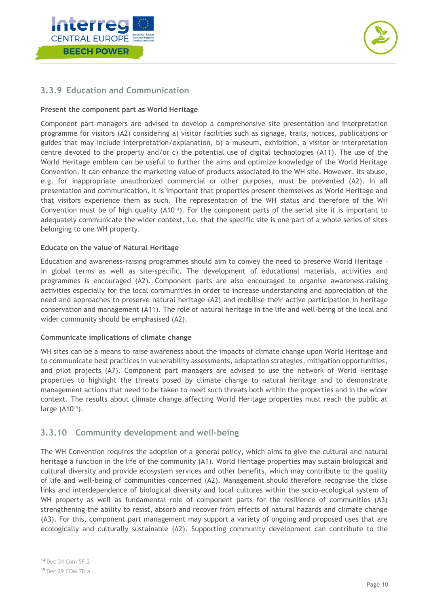



### <span id="page-12-0"></span>**3.3.9 Education and Communication**

#### **Present the component part as World Heritage**

Component part managers are advised to develop a comprehensive site presentation and interpretation programme for visitors (A2) considering a) visitor facilities such as signage, trails, notices, publications or guides that may include interpretation/explanation, b) a museum, exhibition, a visitor or interpretation centre devoted to the property and/or c) the potential use of digital technologies (A11). The use of the World Heritage emblem can be useful to further the aims and optimize knowledge of the World Heritage Convention. It can enhance the marketing value of products associated to the WH site. However, its abuse, e.g. for inappropriate unauthorized commercial or other purposes, must be prevented (A2). In all presentation and communication, it is important that properties present themselves as World Heritage and that visitors experience them as such. The representation of the WH status and therefore of the WH Convention must be of high quality (A1014). For the component parts of the serial site it is important to adequately communicate the wider context, i.e. that the specific site is one part of a whole series of sites belonging to one WH property.

#### **Educate on the value of Natural Heritage**

Education and awareness-raising programmes should aim to convey the need to preserve World Heritage – in global terms as well as site-specific. The development of educational materials, activities and programmes is encouraged (A2). Component parts are also encouraged to organise awareness-raising activities especially for the local communities in order to increase understanding and appreciation of the need and approaches to preserve natural heritage (A2) and mobilise their active participation in heritage conservation and management (A11). The role of natural heritage in the life and well-being of the local and wider community should be emphasised (A2).

#### **Communicate implications of climate change**

WH sites can be a means to raise awareness about the impacts of climate change upon World Heritage and to communicate best practices in vulnerability assessments, adaptation strategies, mitigation opportunities, and pilot projects (A7). Component part managers are advised to use the network of World Heritage properties to highlight the threats posed by climate change to natural heritage and to demonstrate management actions that need to be taken to meet such threats both within the properties and in the wider context. The results about climate change affecting World Heritage properties must reach the public at large (A10<sup>15</sup>).

### <span id="page-12-1"></span>**3.3.10 Community development and well-being**

The WH Convention requires the adoption of a general policy, which aims to give the cultural and natural heritage a function in the life of the community (A1). World Heritage properties may sustain biological and cultural diversity and provide ecosystem services and other benefits, which may contribute to the quality of life and well-being of communities concerned (A2). Management should therefore recognise the close links and interdependence of biological diversity and local cultures within the socio-ecological system of WH property as well as fundamental role of component parts for the resilience of communities (A3) strengthening the ability to resist, absorb and recover from effects of natural hazards and climate change (A3). For this, component part management may support a variety of ongoing and proposed uses that are ecologically and culturally sustainable (A2). Supporting community development can contribute to the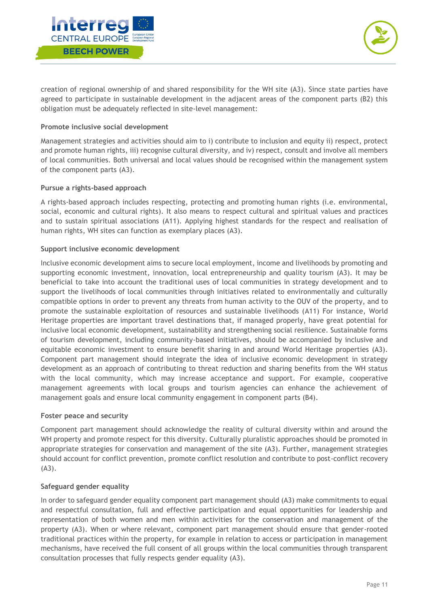



creation of regional ownership of and shared responsibility for the WH site (A3). Since state parties have agreed to participate in sustainable development in the adjacent areas of the component parts (B2) this obligation must be adequately reflected in site-level management:

#### **Promote inclusive social development**

Management strategies and activities should aim to i) contribute to inclusion and equity ii) respect, protect and promote human rights, iii) recognise cultural diversity, and iv) respect, consult and involve all members of local communities. Both universal and local values should be recognised within the management system of the component parts (A3).

#### **Pursue a rights-based approach**

A rights-based approach includes respecting, protecting and promoting human rights (i.e. environmental, social, economic and cultural rights). It also means to respect cultural and spiritual values and practices and to sustain spiritual associations (A11). Applying highest standards for the respect and realisation of human rights, WH sites can function as exemplary places (A3).

#### **Support inclusive economic development**

Inclusive economic development aims to secure local employment, income and livelihoods by promoting and supporting economic investment, innovation, local entrepreneurship and quality tourism (A3). It may be beneficial to take into account the traditional uses of local communities in strategy development and to support the livelihoods of local communities through initiatives related to environmentally and culturally compatible options in order to prevent any threats from human activity to the OUV of the property, and to promote the sustainable exploitation of resources and sustainable livelihoods (A11) For instance, World Heritage properties are important travel destinations that, if managed properly, have great potential for inclusive local economic development, sustainability and strengthening social resilience. Sustainable forms of tourism development, including community-based initiatives, should be accompanied by inclusive and equitable economic investment to ensure benefit sharing in and around World Heritage properties (A3). Component part management should integrate the idea of inclusive economic development in strategy development as an approach of contributing to threat reduction and sharing benefits from the WH status with the local community, which may increase acceptance and support. For example, cooperative management agreements with local groups and tourism agencies can enhance the achievement of management goals and ensure local community engagement in component parts (B4).

#### **Foster peace and security**

Component part management should acknowledge the reality of cultural diversity within and around the WH property and promote respect for this diversity. Culturally pluralistic approaches should be promoted in appropriate strategies for conservation and management of the site (A3). Further, management strategies should account for conflict prevention, promote conflict resolution and contribute to post-conflict recovery (A3).

#### **Safeguard gender equality**

In order to safeguard gender equality component part management should (A3) make commitments to equal and respectful consultation, full and effective participation and equal opportunities for leadership and representation of both women and men within activities for the conservation and management of the property (A3). When or where relevant, component part management should ensure that gender-rooted traditional practices within the property, for example in relation to access or participation in management mechanisms, have received the full consent of all groups within the local communities through transparent consultation processes that fully respects gender equality (A3).